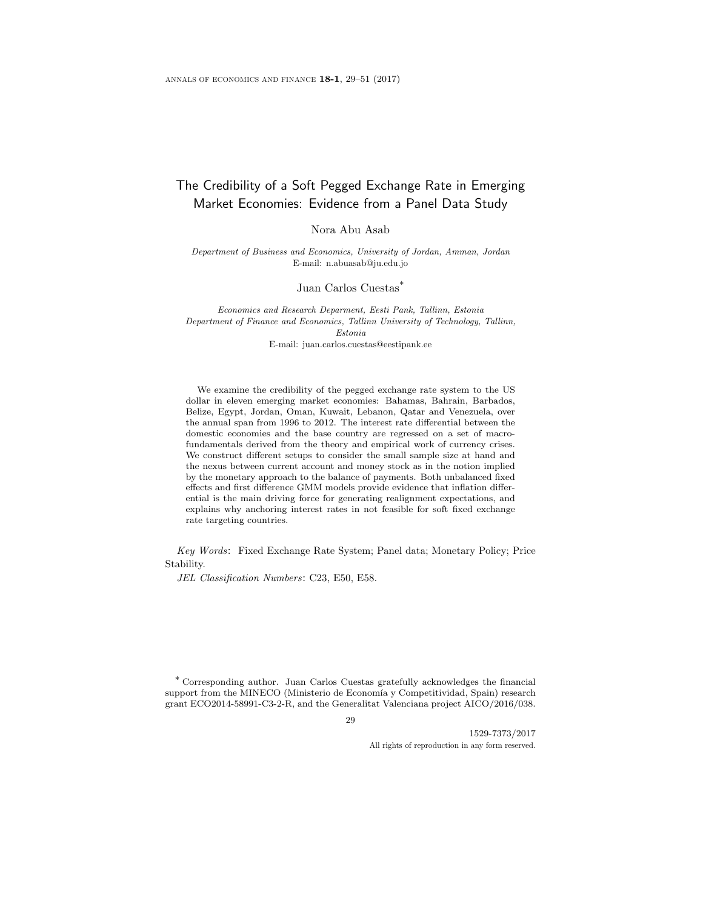# The Credibility of a Soft Pegged Exchange Rate in Emerging Market Economies: Evidence from a Panel Data Study

Nora Abu Asab

Department of Business and Economics, University of Jordan, Amman, Jordan E-mail: n.abuasab@ju.edu.jo

Juan Carlos Cuestas\*

Economics and Research Deparment, Eesti Pank, Tallinn, Estonia Department of Finance and Economics, Tallinn University of Technology, Tallinn, Estonia

E-mail: juan.carlos.cuestas@eestipank.ee

We examine the credibility of the pegged exchange rate system to the US dollar in eleven emerging market economies: Bahamas, Bahrain, Barbados, Belize, Egypt, Jordan, Oman, Kuwait, Lebanon, Qatar and Venezuela, over the annual span from 1996 to 2012. The interest rate differential between the domestic economies and the base country are regressed on a set of macrofundamentals derived from the theory and empirical work of currency crises. We construct different setups to consider the small sample size at hand and the nexus between current account and money stock as in the notion implied by the monetary approach to the balance of payments. Both unbalanced fixed effects and first difference GMM models provide evidence that inflation differential is the main driving force for generating realignment expectations, and explains why anchoring interest rates in not feasible for soft fixed exchange rate targeting countries.

Key Words: Fixed Exchange Rate System; Panel data; Monetary Policy; Price Stability.

JEL Classification Numbers: C23, E50, E58.

\* Corresponding author. Juan Carlos Cuestas gratefully acknowledges the financial support from the MINECO (Ministerio de Economía y Competitividad, Spain) research grant ECO2014-58991-C3-2-R, and the Generalitat Valenciana project AICO/2016/038.

29

1529-7373/2017 All rights of reproduction in any form reserved.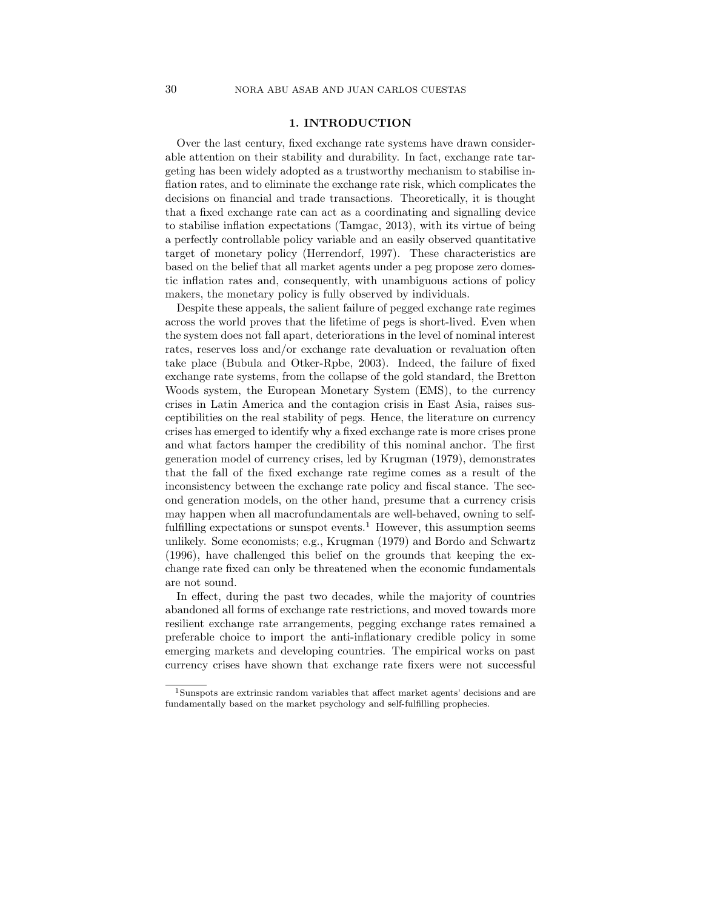# 1. INTRODUCTION

Over the last century, fixed exchange rate systems have drawn considerable attention on their stability and durability. In fact, exchange rate targeting has been widely adopted as a trustworthy mechanism to stabilise inflation rates, and to eliminate the exchange rate risk, which complicates the decisions on financial and trade transactions. Theoretically, it is thought that a fixed exchange rate can act as a coordinating and signalling device to stabilise inflation expectations (Tamgac, 2013), with its virtue of being a perfectly controllable policy variable and an easily observed quantitative target of monetary policy (Herrendorf, 1997). These characteristics are based on the belief that all market agents under a peg propose zero domestic inflation rates and, consequently, with unambiguous actions of policy makers, the monetary policy is fully observed by individuals.

Despite these appeals, the salient failure of pegged exchange rate regimes across the world proves that the lifetime of pegs is short-lived. Even when the system does not fall apart, deteriorations in the level of nominal interest rates, reserves loss and/or exchange rate devaluation or revaluation often take place (Bubula and Otker-Rpbe, 2003). Indeed, the failure of fixed exchange rate systems, from the collapse of the gold standard, the Bretton Woods system, the European Monetary System (EMS), to the currency crises in Latin America and the contagion crisis in East Asia, raises susceptibilities on the real stability of pegs. Hence, the literature on currency crises has emerged to identify why a fixed exchange rate is more crises prone and what factors hamper the credibility of this nominal anchor. The first generation model of currency crises, led by Krugman (1979), demonstrates that the fall of the fixed exchange rate regime comes as a result of the inconsistency between the exchange rate policy and fiscal stance. The second generation models, on the other hand, presume that a currency crisis may happen when all macrofundamentals are well-behaved, owning to selffulfilling expectations or sunspot events.<sup>1</sup> However, this assumption seems unlikely. Some economists; e.g., Krugman (1979) and Bordo and Schwartz (1996), have challenged this belief on the grounds that keeping the exchange rate fixed can only be threatened when the economic fundamentals are not sound.

In effect, during the past two decades, while the majority of countries abandoned all forms of exchange rate restrictions, and moved towards more resilient exchange rate arrangements, pegging exchange rates remained a preferable choice to import the anti-inflationary credible policy in some emerging markets and developing countries. The empirical works on past currency crises have shown that exchange rate fixers were not successful

<sup>1</sup>Sunspots are extrinsic random variables that affect market agents' decisions and are fundamentally based on the market psychology and self-fulfilling prophecies.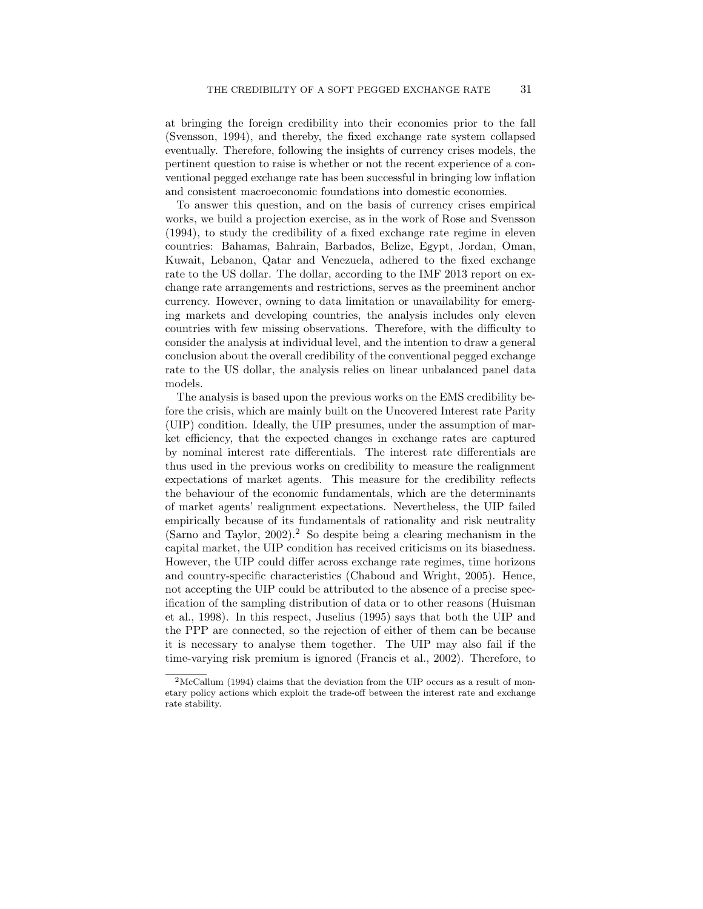at bringing the foreign credibility into their economies prior to the fall (Svensson, 1994), and thereby, the fixed exchange rate system collapsed eventually. Therefore, following the insights of currency crises models, the pertinent question to raise is whether or not the recent experience of a conventional pegged exchange rate has been successful in bringing low inflation and consistent macroeconomic foundations into domestic economies.

To answer this question, and on the basis of currency crises empirical works, we build a projection exercise, as in the work of Rose and Svensson (1994), to study the credibility of a fixed exchange rate regime in eleven countries: Bahamas, Bahrain, Barbados, Belize, Egypt, Jordan, Oman, Kuwait, Lebanon, Qatar and Venezuela, adhered to the fixed exchange rate to the US dollar. The dollar, according to the IMF 2013 report on exchange rate arrangements and restrictions, serves as the preeminent anchor currency. However, owning to data limitation or unavailability for emerging markets and developing countries, the analysis includes only eleven countries with few missing observations. Therefore, with the difficulty to consider the analysis at individual level, and the intention to draw a general conclusion about the overall credibility of the conventional pegged exchange rate to the US dollar, the analysis relies on linear unbalanced panel data models.

The analysis is based upon the previous works on the EMS credibility before the crisis, which are mainly built on the Uncovered Interest rate Parity (UIP) condition. Ideally, the UIP presumes, under the assumption of market efficiency, that the expected changes in exchange rates are captured by nominal interest rate differentials. The interest rate differentials are thus used in the previous works on credibility to measure the realignment expectations of market agents. This measure for the credibility reflects the behaviour of the economic fundamentals, which are the determinants of market agents' realignment expectations. Nevertheless, the UIP failed empirically because of its fundamentals of rationality and risk neutrality (Sarno and Taylor,  $2002$ ).<sup>2</sup> So despite being a clearing mechanism in the capital market, the UIP condition has received criticisms on its biasedness. However, the UIP could differ across exchange rate regimes, time horizons and country-specific characteristics (Chaboud and Wright, 2005). Hence, not accepting the UIP could be attributed to the absence of a precise specification of the sampling distribution of data or to other reasons (Huisman et al., 1998). In this respect, Juselius (1995) says that both the UIP and the PPP are connected, so the rejection of either of them can be because it is necessary to analyse them together. The UIP may also fail if the time-varying risk premium is ignored (Francis et al., 2002). Therefore, to

<sup>&</sup>lt;sup>2</sup>McCallum (1994) claims that the deviation from the UIP occurs as a result of monetary policy actions which exploit the trade-off between the interest rate and exchange rate stability.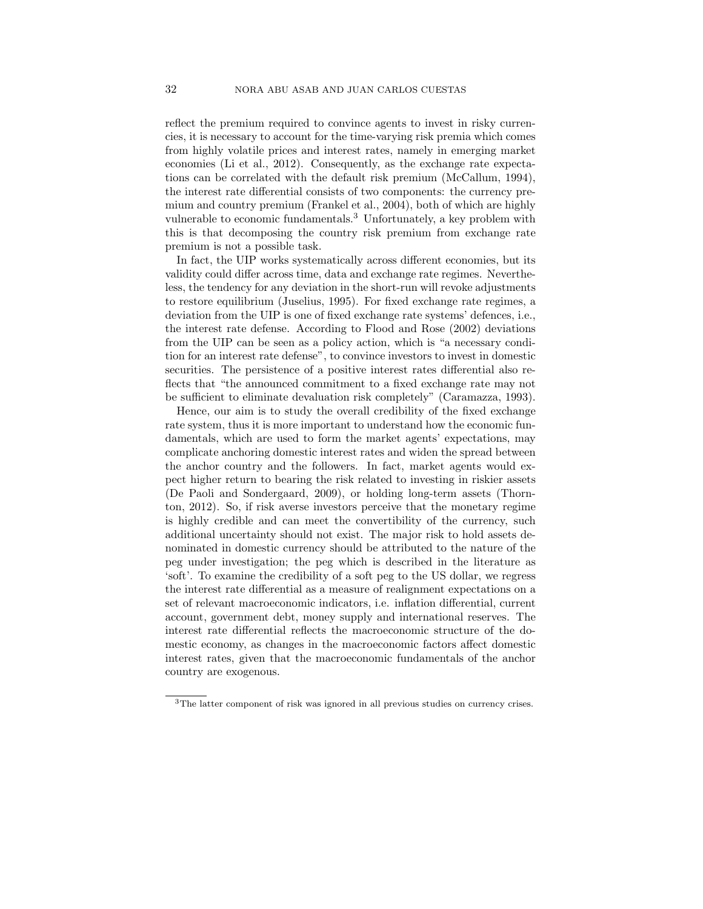reflect the premium required to convince agents to invest in risky currencies, it is necessary to account for the time-varying risk premia which comes from highly volatile prices and interest rates, namely in emerging market economies (Li et al., 2012). Consequently, as the exchange rate expectations can be correlated with the default risk premium (McCallum, 1994), the interest rate differential consists of two components: the currency premium and country premium (Frankel et al., 2004), both of which are highly vulnerable to economic fundamentals.<sup>3</sup> Unfortunately, a key problem with this is that decomposing the country risk premium from exchange rate premium is not a possible task.

In fact, the UIP works systematically across different economies, but its validity could differ across time, data and exchange rate regimes. Nevertheless, the tendency for any deviation in the short-run will revoke adjustments to restore equilibrium (Juselius, 1995). For fixed exchange rate regimes, a deviation from the UIP is one of fixed exchange rate systems' defences, i.e., the interest rate defense. According to Flood and Rose (2002) deviations from the UIP can be seen as a policy action, which is "a necessary condition for an interest rate defense", to convince investors to invest in domestic securities. The persistence of a positive interest rates differential also reflects that "the announced commitment to a fixed exchange rate may not be sufficient to eliminate devaluation risk completely" (Caramazza, 1993).

Hence, our aim is to study the overall credibility of the fixed exchange rate system, thus it is more important to understand how the economic fundamentals, which are used to form the market agents' expectations, may complicate anchoring domestic interest rates and widen the spread between the anchor country and the followers. In fact, market agents would expect higher return to bearing the risk related to investing in riskier assets (De Paoli and Sondergaard, 2009), or holding long-term assets (Thornton, 2012). So, if risk averse investors perceive that the monetary regime is highly credible and can meet the convertibility of the currency, such additional uncertainty should not exist. The major risk to hold assets denominated in domestic currency should be attributed to the nature of the peg under investigation; the peg which is described in the literature as 'soft'. To examine the credibility of a soft peg to the US dollar, we regress the interest rate differential as a measure of realignment expectations on a set of relevant macroeconomic indicators, i.e. inflation differential, current account, government debt, money supply and international reserves. The interest rate differential reflects the macroeconomic structure of the domestic economy, as changes in the macroeconomic factors affect domestic interest rates, given that the macroeconomic fundamentals of the anchor country are exogenous.

<sup>3</sup>The latter component of risk was ignored in all previous studies on currency crises.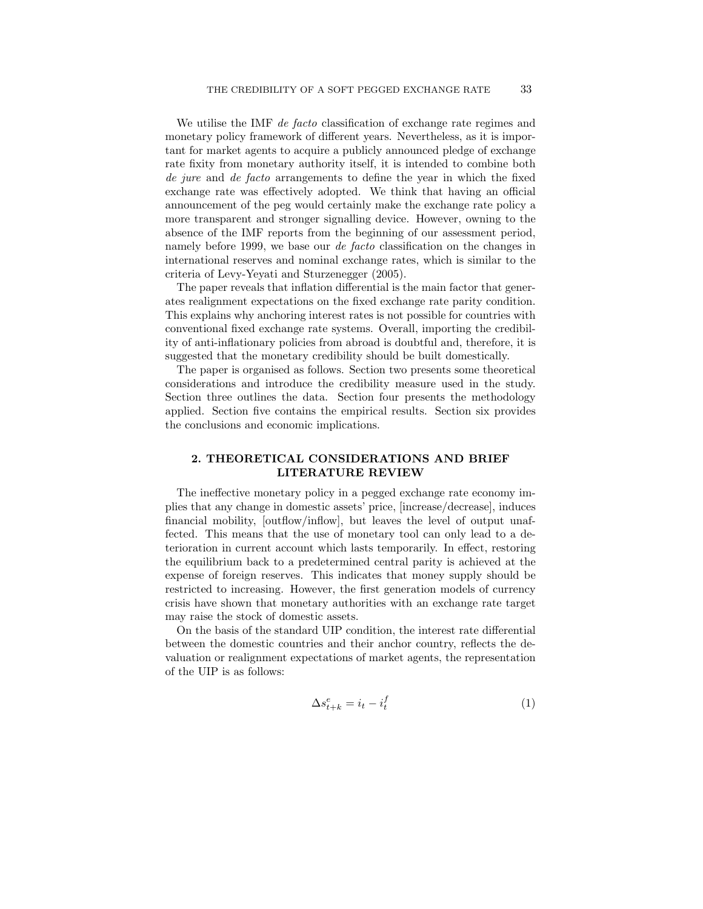We utilise the IMF *de facto* classification of exchange rate regimes and monetary policy framework of different years. Nevertheless, as it is important for market agents to acquire a publicly announced pledge of exchange rate fixity from monetary authority itself, it is intended to combine both de jure and de facto arrangements to define the year in which the fixed exchange rate was effectively adopted. We think that having an official announcement of the peg would certainly make the exchange rate policy a more transparent and stronger signalling device. However, owning to the absence of the IMF reports from the beginning of our assessment period, namely before 1999, we base our de facto classification on the changes in international reserves and nominal exchange rates, which is similar to the criteria of Levy-Yeyati and Sturzenegger (2005).

The paper reveals that inflation differential is the main factor that generates realignment expectations on the fixed exchange rate parity condition. This explains why anchoring interest rates is not possible for countries with conventional fixed exchange rate systems. Overall, importing the credibility of anti-inflationary policies from abroad is doubtful and, therefore, it is suggested that the monetary credibility should be built domestically.

The paper is organised as follows. Section two presents some theoretical considerations and introduce the credibility measure used in the study. Section three outlines the data. Section four presents the methodology applied. Section five contains the empirical results. Section six provides the conclusions and economic implications.

# 2. THEORETICAL CONSIDERATIONS AND BRIEF LITERATURE REVIEW

The ineffective monetary policy in a pegged exchange rate economy implies that any change in domestic assets' price, [increase/decrease], induces financial mobility, [outflow/inflow], but leaves the level of output unaffected. This means that the use of monetary tool can only lead to a deterioration in current account which lasts temporarily. In effect, restoring the equilibrium back to a predetermined central parity is achieved at the expense of foreign reserves. This indicates that money supply should be restricted to increasing. However, the first generation models of currency crisis have shown that monetary authorities with an exchange rate target may raise the stock of domestic assets.

On the basis of the standard UIP condition, the interest rate differential between the domestic countries and their anchor country, reflects the devaluation or realignment expectations of market agents, the representation of the UIP is as follows:

$$
\Delta s_{t+k}^e = i_t - i_t^f \tag{1}
$$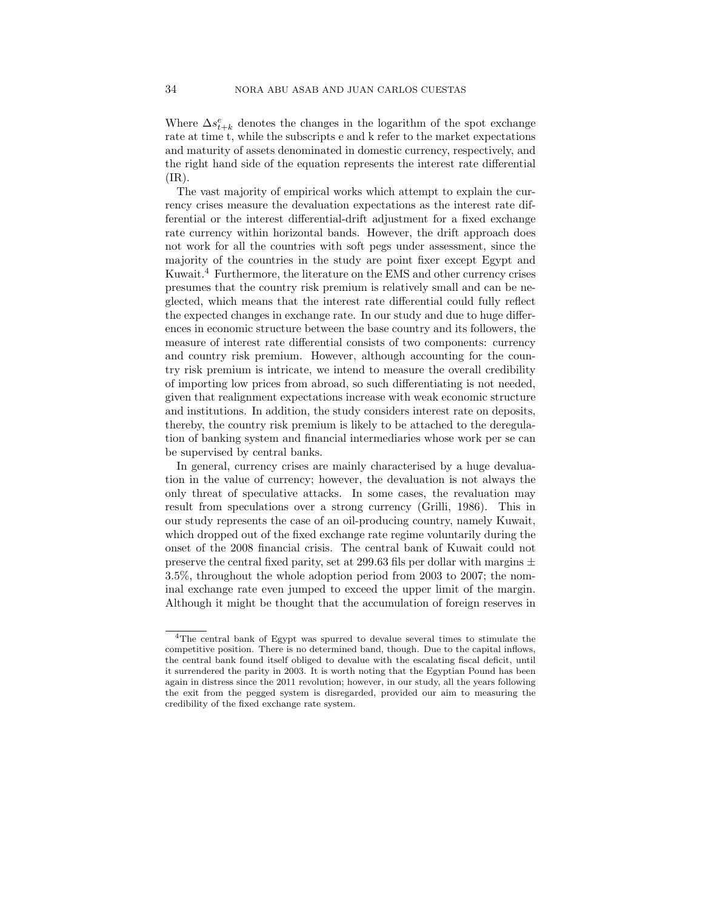Where  $\Delta s_{t+k}^e$  denotes the changes in the logarithm of the spot exchange rate at time t, while the subscripts e and k refer to the market expectations and maturity of assets denominated in domestic currency, respectively, and the right hand side of the equation represents the interest rate differential  $(IR).$ 

The vast majority of empirical works which attempt to explain the currency crises measure the devaluation expectations as the interest rate differential or the interest differential-drift adjustment for a fixed exchange rate currency within horizontal bands. However, the drift approach does not work for all the countries with soft pegs under assessment, since the majority of the countries in the study are point fixer except Egypt and Kuwait.<sup>4</sup> Furthermore, the literature on the EMS and other currency crises presumes that the country risk premium is relatively small and can be neglected, which means that the interest rate differential could fully reflect the expected changes in exchange rate. In our study and due to huge differences in economic structure between the base country and its followers, the measure of interest rate differential consists of two components: currency and country risk premium. However, although accounting for the country risk premium is intricate, we intend to measure the overall credibility of importing low prices from abroad, so such differentiating is not needed, given that realignment expectations increase with weak economic structure and institutions. In addition, the study considers interest rate on deposits, thereby, the country risk premium is likely to be attached to the deregulation of banking system and financial intermediaries whose work per se can be supervised by central banks.

In general, currency crises are mainly characterised by a huge devaluation in the value of currency; however, the devaluation is not always the only threat of speculative attacks. In some cases, the revaluation may result from speculations over a strong currency (Grilli, 1986). This in our study represents the case of an oil-producing country, namely Kuwait, which dropped out of the fixed exchange rate regime voluntarily during the onset of the 2008 financial crisis. The central bank of Kuwait could not preserve the central fixed parity, set at 299.63 fils per dollar with margins  $\pm$ 3.5%, throughout the whole adoption period from 2003 to 2007; the nominal exchange rate even jumped to exceed the upper limit of the margin. Although it might be thought that the accumulation of foreign reserves in

<sup>4</sup>The central bank of Egypt was spurred to devalue several times to stimulate the competitive position. There is no determined band, though. Due to the capital inflows, the central bank found itself obliged to devalue with the escalating fiscal deficit, until it surrendered the parity in 2003. It is worth noting that the Egyptian Pound has been again in distress since the 2011 revolution; however, in our study, all the years following the exit from the pegged system is disregarded, provided our aim to measuring the credibility of the fixed exchange rate system.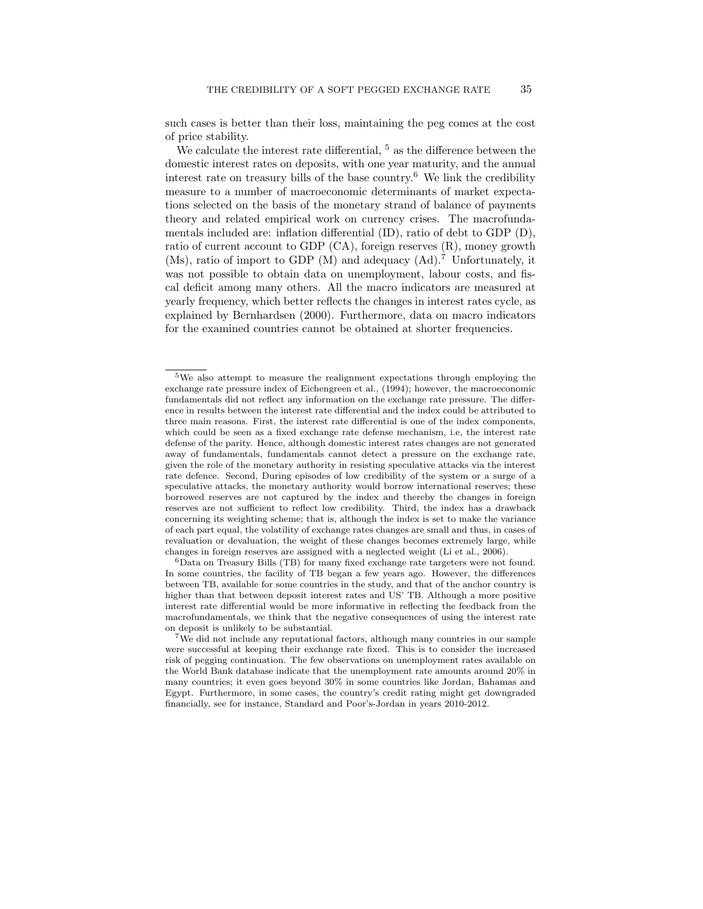such cases is better than their loss, maintaining the peg comes at the cost of price stability.

We calculate the interest rate differential,  $5$  as the difference between the domestic interest rates on deposits, with one year maturity, and the annual interest rate on treasury bills of the base country.<sup>6</sup> We link the credibility measure to a number of macroeconomic determinants of market expectations selected on the basis of the monetary strand of balance of payments theory and related empirical work on currency crises. The macrofundamentals included are: inflation differential (ID), ratio of debt to GDP (D), ratio of current account to GDP (CA), foreign reserves (R), money growth (Ms), ratio of import to GDP (M) and adequacy (Ad).<sup>7</sup> Unfortunately, it was not possible to obtain data on unemployment, labour costs, and fiscal deficit among many others. All the macro indicators are measured at yearly frequency, which better reflects the changes in interest rates cycle, as explained by Bernhardsen (2000). Furthermore, data on macro indicators for the examined countries cannot be obtained at shorter frequencies.

<sup>5</sup>We also attempt to measure the realignment expectations through employing the exchange rate pressure index of Eichengreen et al., (1994); however, the macroeconomic fundamentals did not reflect any information on the exchange rate pressure. The difference in results between the interest rate differential and the index could be attributed to three main reasons. First, the interest rate differential is one of the index components, which could be seen as a fixed exchange rate defense mechanism, i.e, the interest rate defense of the parity. Hence, although domestic interest rates changes are not generated away of fundamentals, fundamentals cannot detect a pressure on the exchange rate, given the role of the monetary authority in resisting speculative attacks via the interest rate defence. Second, During episodes of low credibility of the system or a surge of a speculative attacks, the monetary authority would borrow international reserves; these borrowed reserves are not captured by the index and thereby the changes in foreign reserves are not sufficient to reflect low credibility. Third, the index has a drawback concerning its weighting scheme; that is, although the index is set to make the variance of each part equal, the volatility of exchange rates changes are small and thus, in cases of revaluation or devaluation, the weight of these changes becomes extremely large, while changes in foreign reserves are assigned with a neglected weight (Li et al., 2006).

 $6$ Data on Treasury Bills (TB) for many fixed exchange rate targeters were not found. In some countries, the facility of TB began a few years ago. However, the differences between TB, available for some countries in the study, and that of the anchor country is higher than that between deposit interest rates and US' TB. Although a more positive interest rate differential would be more informative in reflecting the feedback from the macrofundamentals, we think that the negative consequences of using the interest rate on deposit is unlikely to be substantial.

<sup>7</sup>We did not include any reputational factors, although many countries in our sample were successful at keeping their exchange rate fixed. This is to consider the increased risk of pegging continuation. The few observations on unemployment rates available on the World Bank database indicate that the unemployment rate amounts around 20% in many countries; it even goes beyond 30% in some countries like Jordan, Bahamas and Egypt. Furthermore, in some cases, the country's credit rating might get downgraded financially, see for instance, Standard and Poor's-Jordan in years 2010-2012.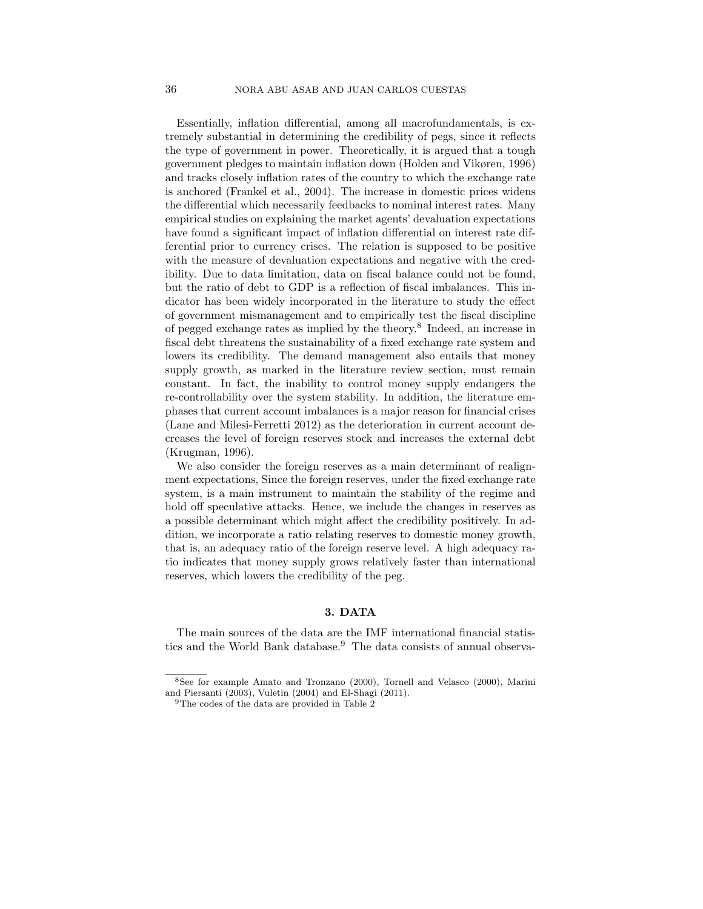Essentially, inflation differential, among all macrofundamentals, is extremely substantial in determining the credibility of pegs, since it reflects the type of government in power. Theoretically, it is argued that a tough government pledges to maintain inflation down (Holden and Vikøren, 1996) and tracks closely inflation rates of the country to which the exchange rate is anchored (Frankel et al., 2004). The increase in domestic prices widens the differential which necessarily feedbacks to nominal interest rates. Many empirical studies on explaining the market agents' devaluation expectations have found a significant impact of inflation differential on interest rate differential prior to currency crises. The relation is supposed to be positive with the measure of devaluation expectations and negative with the credibility. Due to data limitation, data on fiscal balance could not be found, but the ratio of debt to GDP is a reflection of fiscal imbalances. This indicator has been widely incorporated in the literature to study the effect of government mismanagement and to empirically test the fiscal discipline of pegged exchange rates as implied by the theory.<sup>8</sup> Indeed, an increase in fiscal debt threatens the sustainability of a fixed exchange rate system and lowers its credibility. The demand management also entails that money supply growth, as marked in the literature review section, must remain constant. In fact, the inability to control money supply endangers the re-controllability over the system stability. In addition, the literature emphases that current account imbalances is a major reason for financial crises (Lane and Milesi-Ferretti 2012) as the deterioration in current account decreases the level of foreign reserves stock and increases the external debt (Krugman, 1996).

We also consider the foreign reserves as a main determinant of realignment expectations, Since the foreign reserves, under the fixed exchange rate system, is a main instrument to maintain the stability of the regime and hold off speculative attacks. Hence, we include the changes in reserves as a possible determinant which might affect the credibility positively. In addition, we incorporate a ratio relating reserves to domestic money growth, that is, an adequacy ratio of the foreign reserve level. A high adequacy ratio indicates that money supply grows relatively faster than international reserves, which lowers the credibility of the peg.

# 3. DATA

The main sources of the data are the IMF international financial statistics and the World Bank database.<sup>9</sup> The data consists of annual observa-

<sup>8</sup>See for example Amato and Tronzano (2000), Tornell and Velasco (2000), Marini and Piersanti (2003), Vuletin (2004) and El-Shagi (2011).

<sup>&</sup>lt;sup>9</sup>The codes of the data are provided in Table 2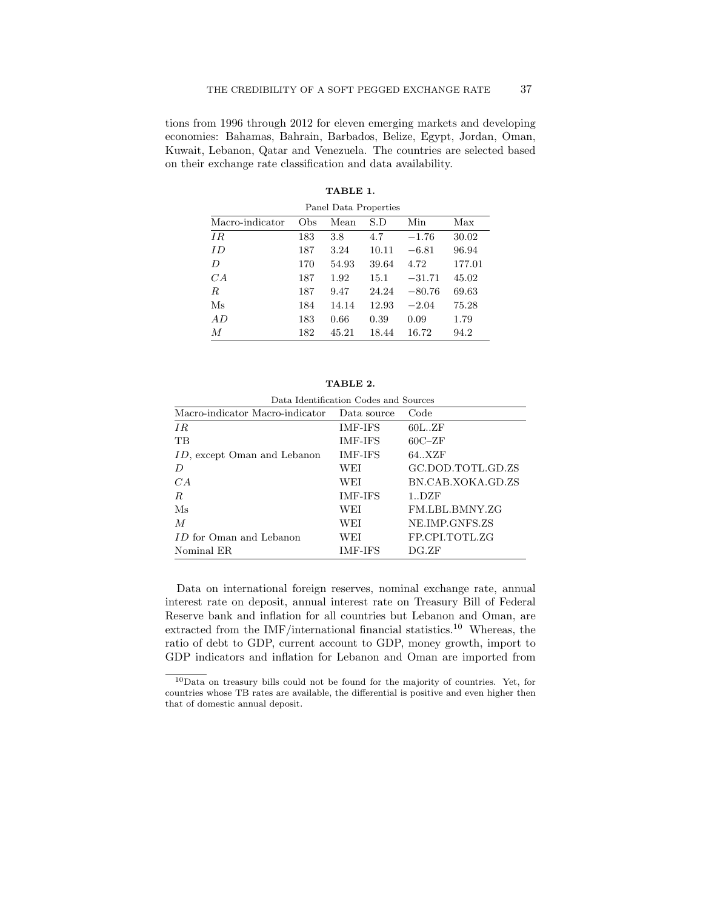tions from 1996 through 2012 for eleven emerging markets and developing economies: Bahamas, Bahrain, Barbados, Belize, Egypt, Jordan, Oman, Kuwait, Lebanon, Qatar and Venezuela. The countries are selected based on their exchange rate classification and data availability.

| Panel Data Properties |     |       |       |          |        |  |  |  |
|-----------------------|-----|-------|-------|----------|--------|--|--|--|
| Macro-indicator       | Obs | Mean  | S.D   | Min      | Max    |  |  |  |
| IR                    | 183 | 3.8   | 4.7   | $-1.76$  | 30.02  |  |  |  |
| ID                    | 187 | 3.24  | 10.11 | $-6.81$  | 96.94  |  |  |  |
| $\overline{D}$        | 170 | 54.93 | 39.64 | 4.72     | 177.01 |  |  |  |
| CA                    | 187 | 1.92  | 15.1  | $-31.71$ | 45.02  |  |  |  |
| $\boldsymbol{R}$      | 187 | 9.47  | 24.24 | $-80.76$ | 69.63  |  |  |  |
| $\rm Ms$              | 184 | 14.14 | 12.93 | $-2.04$  | 75.28  |  |  |  |
| AD                    | 183 | 0.66  | 0.39  | 0.09     | 1.79   |  |  |  |
| $\boldsymbol{M}$      | 182 | 45.21 | 18.44 | 16.72    | 94.2   |  |  |  |

| TABLE 1. |  |
|----------|--|
|----------|--|

| TABLE 2. |
|----------|
|----------|

| Data Identification Codes and Sources |                     |                   |  |  |  |  |  |  |
|---------------------------------------|---------------------|-------------------|--|--|--|--|--|--|
| Macro-indicator Macro-indicator       | Code<br>Data source |                   |  |  |  |  |  |  |
| TR.                                   | <b>IMF-IFS</b>      | 60L.ZF            |  |  |  |  |  |  |
| TB                                    | <b>IMF-IFS</b>      | $60C - ZF$        |  |  |  |  |  |  |
| <i>ID</i> , except Oman and Lebanon   | <b>IMF-IFS</b>      | 64.XZF            |  |  |  |  |  |  |
| D                                     | WEI                 | GC.DOD.TOTL.GD.ZS |  |  |  |  |  |  |
| CA                                    | WEI                 | BN.CAB.XOKA.GD.ZS |  |  |  |  |  |  |
| R.                                    | <b>IMF-IFS</b>      | 1.DZF             |  |  |  |  |  |  |
| Ms                                    | WEI                 | FM.LBL.BMNY.ZG    |  |  |  |  |  |  |
| М                                     | WEI                 | NE.IMP.GNFS.ZS    |  |  |  |  |  |  |
| <i>ID</i> for Oman and Lebanon        | WEI                 | FP.CPLTOTL.ZG     |  |  |  |  |  |  |
| Nominal ER.                           | IMF-IFS             | DG ZF             |  |  |  |  |  |  |

Data on international foreign reserves, nominal exchange rate, annual interest rate on deposit, annual interest rate on Treasury Bill of Federal Reserve bank and inflation for all countries but Lebanon and Oman, are extracted from the IMF/international financial statistics.<sup>10</sup> Whereas, the ratio of debt to GDP, current account to GDP, money growth, import to GDP indicators and inflation for Lebanon and Oman are imported from

<sup>10</sup>Data on treasury bills could not be found for the majority of countries. Yet, for countries whose TB rates are available, the differential is positive and even higher then that of domestic annual deposit.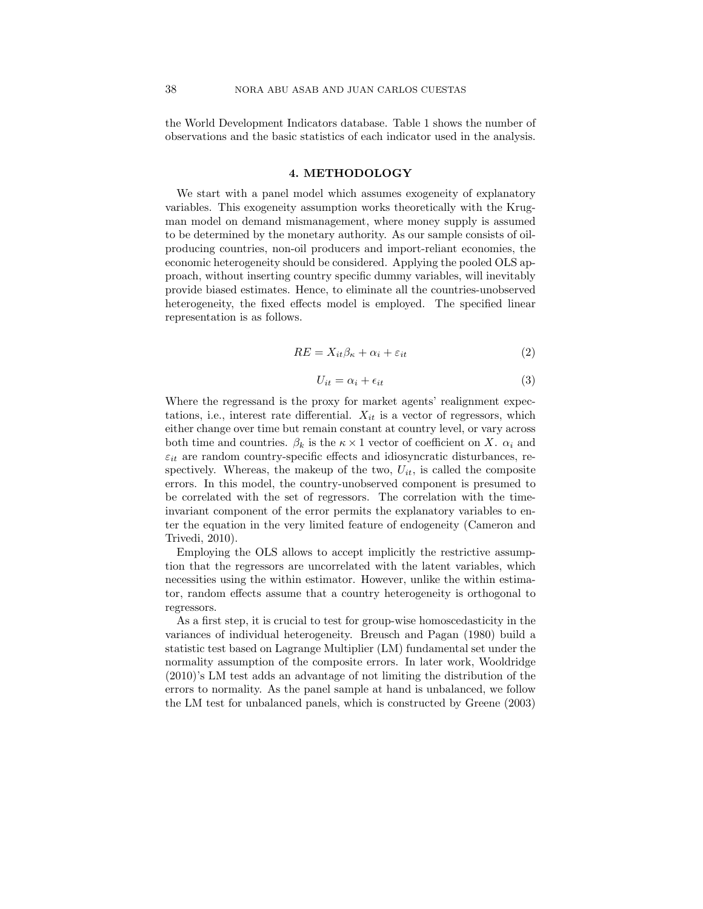the World Development Indicators database. Table 1 shows the number of observations and the basic statistics of each indicator used in the analysis.

#### 4. METHODOLOGY

We start with a panel model which assumes exogeneity of explanatory variables. This exogeneity assumption works theoretically with the Krugman model on demand mismanagement, where money supply is assumed to be determined by the monetary authority. As our sample consists of oilproducing countries, non-oil producers and import-reliant economies, the economic heterogeneity should be considered. Applying the pooled OLS approach, without inserting country specific dummy variables, will inevitably provide biased estimates. Hence, to eliminate all the countries-unobserved heterogeneity, the fixed effects model is employed. The specified linear representation is as follows.

$$
RE = X_{it} \beta_{\kappa} + \alpha_i + \varepsilon_{it} \tag{2}
$$

$$
U_{it} = \alpha_i + \epsilon_{it} \tag{3}
$$

Where the regressand is the proxy for market agents' realignment expectations, i.e., interest rate differential.  $X_{it}$  is a vector of regressors, which either change over time but remain constant at country level, or vary across both time and countries.  $\beta_k$  is the  $\kappa \times 1$  vector of coefficient on X.  $\alpha_i$  and  $\varepsilon_{it}$  are random country-specific effects and idiosyncratic disturbances, respectively. Whereas, the makeup of the two,  $U_{it}$ , is called the composite errors. In this model, the country-unobserved component is presumed to be correlated with the set of regressors. The correlation with the timeinvariant component of the error permits the explanatory variables to enter the equation in the very limited feature of endogeneity (Cameron and Trivedi, 2010).

Employing the OLS allows to accept implicitly the restrictive assumption that the regressors are uncorrelated with the latent variables, which necessities using the within estimator. However, unlike the within estimator, random effects assume that a country heterogeneity is orthogonal to regressors.

As a first step, it is crucial to test for group-wise homoscedasticity in the variances of individual heterogeneity. Breusch and Pagan (1980) build a statistic test based on Lagrange Multiplier (LM) fundamental set under the normality assumption of the composite errors. In later work, Wooldridge (2010)'s LM test adds an advantage of not limiting the distribution of the errors to normality. As the panel sample at hand is unbalanced, we follow the LM test for unbalanced panels, which is constructed by Greene (2003)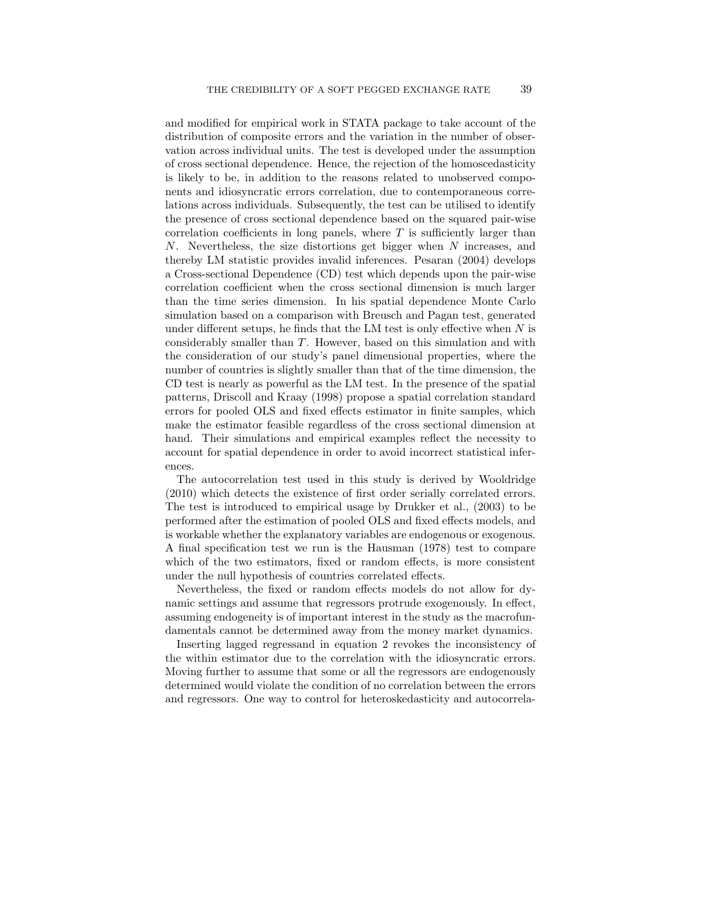and modified for empirical work in STATA package to take account of the distribution of composite errors and the variation in the number of observation across individual units. The test is developed under the assumption of cross sectional dependence. Hence, the rejection of the homoscedasticity is likely to be, in addition to the reasons related to unobserved components and idiosyncratic errors correlation, due to contemporaneous correlations across individuals. Subsequently, the test can be utilised to identify the presence of cross sectional dependence based on the squared pair-wise correlation coefficients in long panels, where  $T$  is sufficiently larger than N. Nevertheless, the size distortions get bigger when N increases, and thereby LM statistic provides invalid inferences. Pesaran (2004) develops a Cross-sectional Dependence (CD) test which depends upon the pair-wise correlation coefficient when the cross sectional dimension is much larger than the time series dimension. In his spatial dependence Monte Carlo simulation based on a comparison with Breusch and Pagan test, generated under different setups, he finds that the LM test is only effective when  $N$  is considerably smaller than T. However, based on this simulation and with the consideration of our study's panel dimensional properties, where the number of countries is slightly smaller than that of the time dimension, the CD test is nearly as powerful as the LM test. In the presence of the spatial patterns, Driscoll and Kraay (1998) propose a spatial correlation standard errors for pooled OLS and fixed effects estimator in finite samples, which make the estimator feasible regardless of the cross sectional dimension at hand. Their simulations and empirical examples reflect the necessity to account for spatial dependence in order to avoid incorrect statistical inferences.

The autocorrelation test used in this study is derived by Wooldridge (2010) which detects the existence of first order serially correlated errors. The test is introduced to empirical usage by Drukker et al., (2003) to be performed after the estimation of pooled OLS and fixed effects models, and is workable whether the explanatory variables are endogenous or exogenous. A final specification test we run is the Hausman (1978) test to compare which of the two estimators, fixed or random effects, is more consistent under the null hypothesis of countries correlated effects.

Nevertheless, the fixed or random effects models do not allow for dynamic settings and assume that regressors protrude exogenously. In effect, assuming endogeneity is of important interest in the study as the macrofundamentals cannot be determined away from the money market dynamics.

Inserting lagged regressand in equation 2 revokes the inconsistency of the within estimator due to the correlation with the idiosyncratic errors. Moving further to assume that some or all the regressors are endogenously determined would violate the condition of no correlation between the errors and regressors. One way to control for heteroskedasticity and autocorrela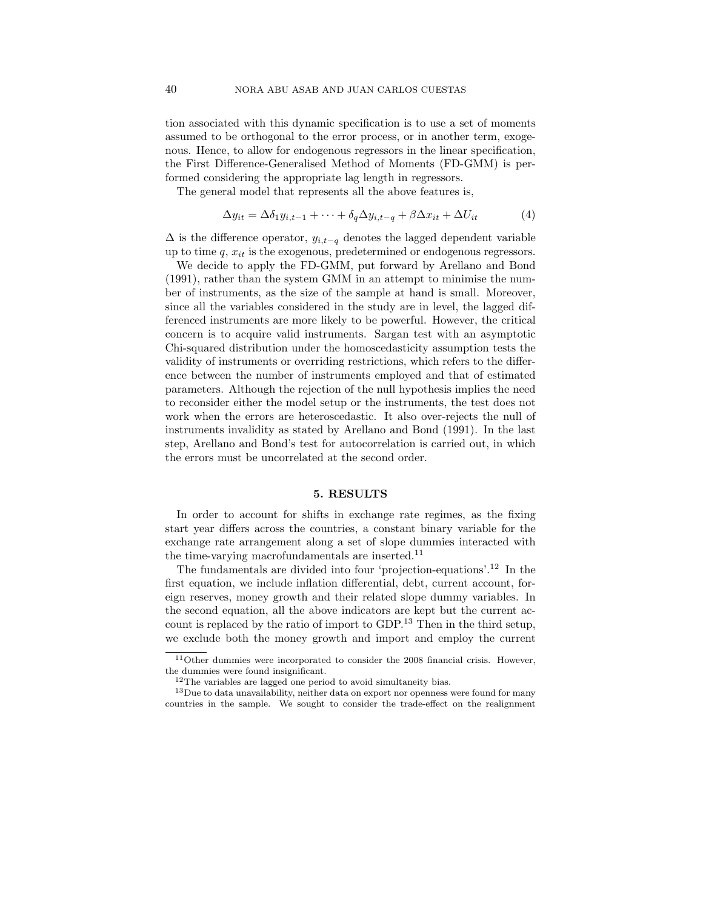tion associated with this dynamic specification is to use a set of moments assumed to be orthogonal to the error process, or in another term, exogenous. Hence, to allow for endogenous regressors in the linear specification, the First Difference-Generalised Method of Moments (FD-GMM) is performed considering the appropriate lag length in regressors.

The general model that represents all the above features is,

$$
\Delta y_{it} = \Delta \delta_1 y_{i,t-1} + \dots + \delta_q \Delta y_{i,t-q} + \beta \Delta x_{it} + \Delta U_{it} \tag{4}
$$

 $\Delta$  is the difference operator,  $y_{i,t-q}$  denotes the lagged dependent variable up to time  $q$ ,  $x_{it}$  is the exogenous, predetermined or endogenous regressors.

We decide to apply the FD-GMM, put forward by Arellano and Bond (1991), rather than the system GMM in an attempt to minimise the number of instruments, as the size of the sample at hand is small. Moreover, since all the variables considered in the study are in level, the lagged differenced instruments are more likely to be powerful. However, the critical concern is to acquire valid instruments. Sargan test with an asymptotic Chi-squared distribution under the homoscedasticity assumption tests the validity of instruments or overriding restrictions, which refers to the difference between the number of instruments employed and that of estimated parameters. Although the rejection of the null hypothesis implies the need to reconsider either the model setup or the instruments, the test does not work when the errors are heteroscedastic. It also over-rejects the null of instruments invalidity as stated by Arellano and Bond (1991). In the last step, Arellano and Bond's test for autocorrelation is carried out, in which the errors must be uncorrelated at the second order.

#### 5. RESULTS

In order to account for shifts in exchange rate regimes, as the fixing start year differs across the countries, a constant binary variable for the exchange rate arrangement along a set of slope dummies interacted with the time-varying macrofundamentals are inserted.<sup>11</sup>

The fundamentals are divided into four 'projection-equations'.<sup>12</sup> In the first equation, we include inflation differential, debt, current account, foreign reserves, money growth and their related slope dummy variables. In the second equation, all the above indicators are kept but the current account is replaced by the ratio of import to GDP.<sup>13</sup> Then in the third setup, we exclude both the money growth and import and employ the current

 $11$ Other dummies were incorporated to consider the 2008 financial crisis. However, the dummies were found insignificant.

 $12$ The variables are lagged one period to avoid simultaneity bias.

<sup>&</sup>lt;sup>13</sup>Due to data unavailability, neither data on export nor openness were found for many countries in the sample. We sought to consider the trade-effect on the realignment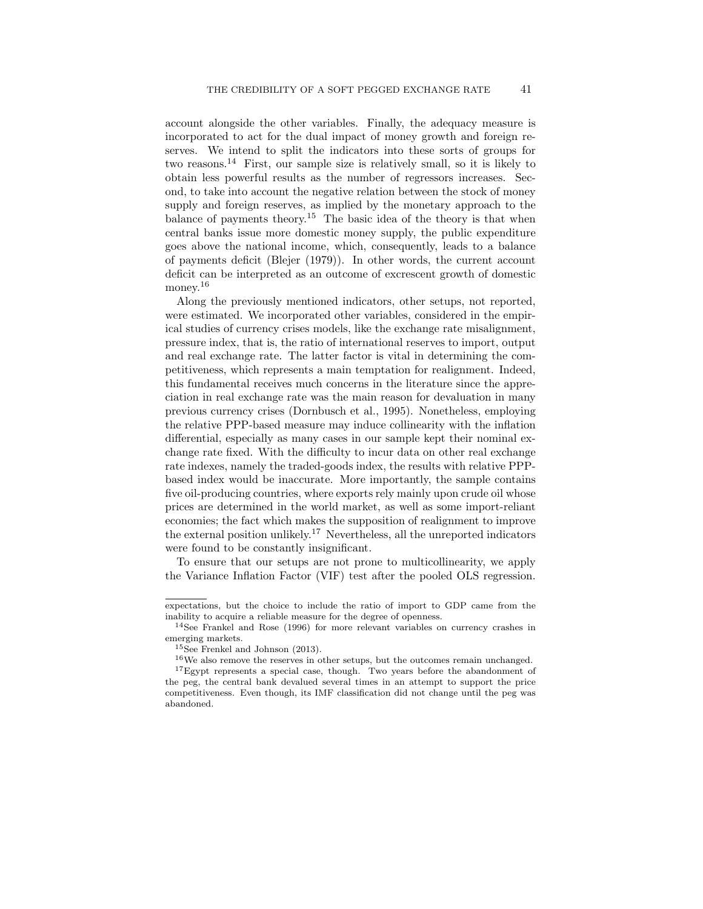account alongside the other variables. Finally, the adequacy measure is incorporated to act for the dual impact of money growth and foreign reserves. We intend to split the indicators into these sorts of groups for two reasons.<sup>14</sup> First, our sample size is relatively small, so it is likely to obtain less powerful results as the number of regressors increases. Second, to take into account the negative relation between the stock of money supply and foreign reserves, as implied by the monetary approach to the balance of payments theory.<sup>15</sup> The basic idea of the theory is that when central banks issue more domestic money supply, the public expenditure goes above the national income, which, consequently, leads to a balance of payments deficit (Blejer (1979)). In other words, the current account deficit can be interpreted as an outcome of excrescent growth of domestic money.<sup>16</sup>

Along the previously mentioned indicators, other setups, not reported, were estimated. We incorporated other variables, considered in the empirical studies of currency crises models, like the exchange rate misalignment, pressure index, that is, the ratio of international reserves to import, output and real exchange rate. The latter factor is vital in determining the competitiveness, which represents a main temptation for realignment. Indeed, this fundamental receives much concerns in the literature since the appreciation in real exchange rate was the main reason for devaluation in many previous currency crises (Dornbusch et al., 1995). Nonetheless, employing the relative PPP-based measure may induce collinearity with the inflation differential, especially as many cases in our sample kept their nominal exchange rate fixed. With the difficulty to incur data on other real exchange rate indexes, namely the traded-goods index, the results with relative PPPbased index would be inaccurate. More importantly, the sample contains five oil-producing countries, where exports rely mainly upon crude oil whose prices are determined in the world market, as well as some import-reliant economies; the fact which makes the supposition of realignment to improve the external position unlikely.<sup>17</sup> Nevertheless, all the unreported indicators were found to be constantly insignificant.

To ensure that our setups are not prone to multicollinearity, we apply the Variance Inflation Factor (VIF) test after the pooled OLS regression.

expectations, but the choice to include the ratio of import to GDP came from the inability to acquire a reliable measure for the degree of openness.

<sup>&</sup>lt;sup>14</sup>See Frankel and Rose  $(1996)$  for more relevant variables on currency crashes in emerging markets.

<sup>15</sup>See Frenkel and Johnson (2013).

<sup>&</sup>lt;sup>16</sup>We also remove the reserves in other setups, but the outcomes remain unchanged.

<sup>&</sup>lt;sup>17</sup>Egypt represents a special case, though. Two years before the abandonment of the peg, the central bank devalued several times in an attempt to support the price competitiveness. Even though, its IMF classification did not change until the peg was abandoned.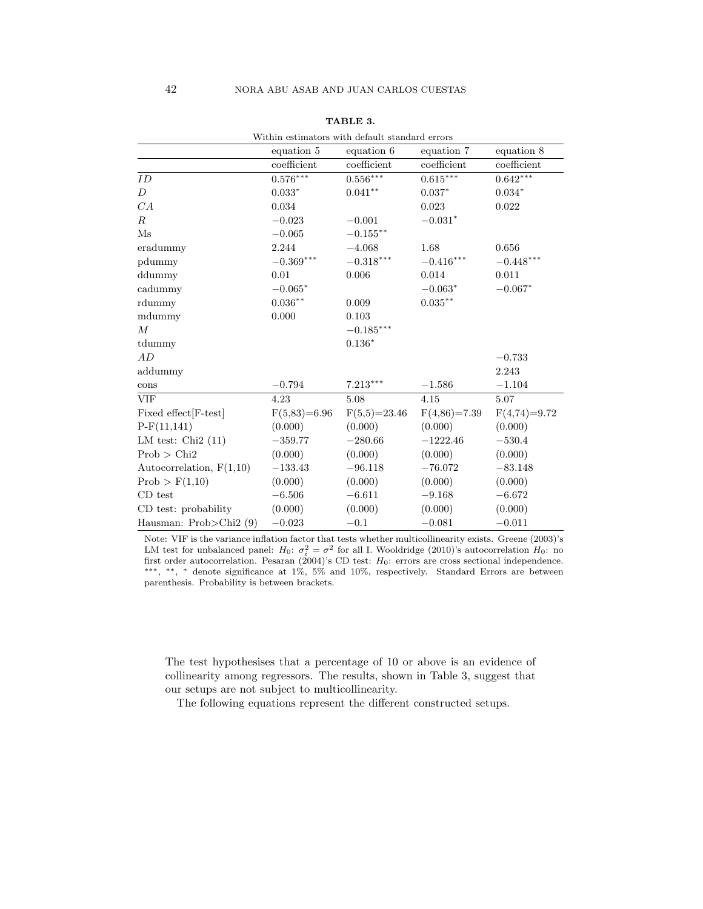|                            | Within estimators with default standard errors |                |                    |                |
|----------------------------|------------------------------------------------|----------------|--------------------|----------------|
|                            | equation 5                                     | equation 6     | equation 7         | equation 8     |
|                            | coefficient                                    | coefficient    | coefficient        | coefficient    |
| ID                         | $0.576***$                                     | $0.556***$     | $0.615***$         | $0.642***$     |
| D                          | $0.033*$                                       | $0.041**$      | $0.037*$           | $0.034*$       |
| CA                         | 0.034                                          |                | 0.023              | 0.022          |
| $\,$ R                     | $-0.023$                                       | $-0.001$       | $-0.031*$          |                |
| $\mathbf{M}\mathbf{s}$     | $-0.065$                                       | $-0.155***$    |                    |                |
| eradummy                   | 2.244                                          | $-4.068$       | 1.68               | 0.656          |
| pdummy                     | $-0.369***$                                    | $-0.318***$    | $-0.416***$        | $-0.448***$    |
| ddummy                     | 0.01                                           | 0.006          | 0.014              | 0.011          |
| cadummy                    | $-0.065*$                                      |                | $-0.063*$          | $-0.067*$      |
| rdummy                     | $0.036**$                                      | 0.009          | $0.035^{\ast\ast}$ |                |
| mdummy                     | 0.000                                          | 0.103          |                    |                |
| $\boldsymbol{M}$           |                                                | $-0.185***$    |                    |                |
| tdummy                     |                                                | $0.136*$       |                    |                |
| AD                         |                                                |                |                    | $-0.733$       |
| addummy                    |                                                |                |                    | 2.243          |
| cons                       | $-0.794$                                       | $7.213***$     | $-1.586$           | $-1.104$       |
| <b>VIF</b>                 | 4.23                                           | 5.08           | 4.15               | 5.07           |
| Fixed effect [F-test]      | $F(5,83)=6.96$                                 | $F(5,5)=23.46$ | $F(4,86)=7.39$     | $F(4,74)=9.72$ |
| $P-F(11,141)$              | (0.000)                                        | (0.000)        | (0.000)            | (0.000)        |
| LM test: $Chi2(11)$        | $-359.77$                                      | $-280.66$      | $-1222.46$         | $-530.4$       |
| $Prob$ > $Chi2$            | (0.000)                                        | (0.000)        | (0.000)            | (0.000)        |
| Autocorrelation, $F(1,10)$ | $-133.43$                                      | $-96.118$      | $-76.072$          | $-83.148$      |
| Prob > F(1,10)             | (0.000)                                        | (0.000)        | (0.000)            | (0.000)        |
| CD test                    | $-6.506$                                       | $-6.611$       | $-9.168$           | $-6.672$       |
| CD test: probability       | (0.000)                                        | (0.000)        | (0.000)            | (0.000)        |
| Hausman: $Prob > Chi2(9)$  | $-0.023$                                       | $-0.1$         | $-0.081$           | $-0.011$       |

TABLE 3.

Note: VIF is the variance inflation factor that tests whether multicollinearity exists. Greene (2003)'s LM test for unbalanced panel:  $H_0$ :  $\sigma_i^2 = \sigma^2$  for all I. Wooldridge (2010)'s autocorrelation  $H_0$ : no first order autocorrelation. Pesaran  $(2004)$ 's CD test:  $H_0$ : errors are cross sectional independence. ∗∗∗, ∗∗, <sup>∗</sup> denote significance at 1%, 5% and 10%, respectively. Standard Errors are between parenthesis. Probability is between brackets.

The test hypothesises that a percentage of 10 or above is an evidence of collinearity among regressors. The results, shown in Table 3, suggest that our setups are not subject to multicollinearity.

The following equations represent the different constructed setups.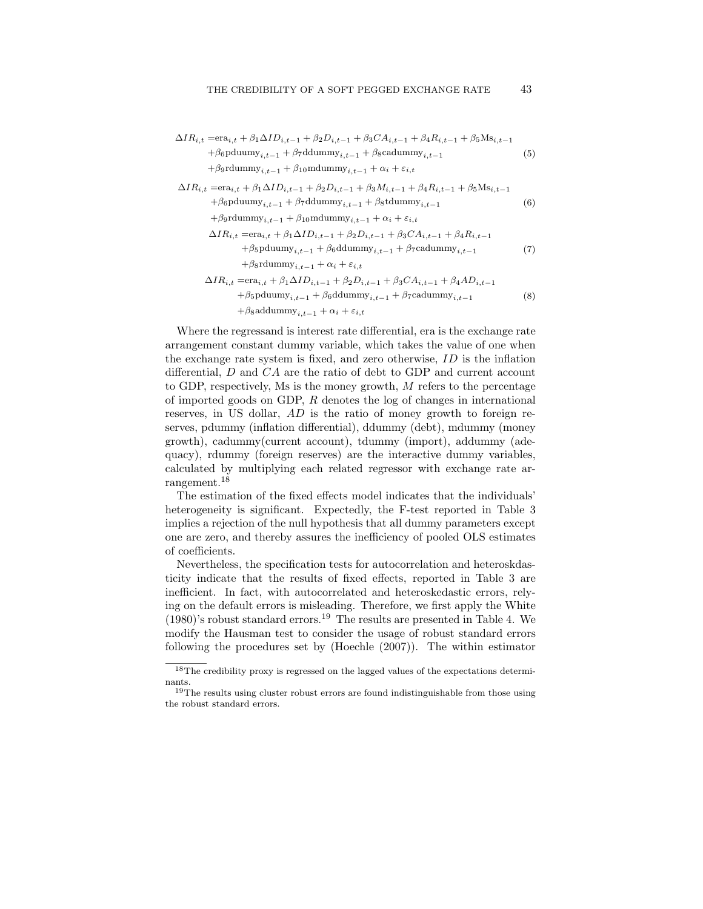$$
\Delta IR_{i,t} = \text{era}_{i,t} + \beta_1 \Delta ID_{i,t-1} + \beta_2 D_{i,t-1} + \beta_3 CA_{i,t-1} + \beta_4 R_{i,t-1} + \beta_5 \text{Ms}_{i,t-1}
$$
\n
$$
+ \beta_6 \text{pduumy}_{i,t-1} + \beta_7 \text{ddummy}_{i,t-1} + \beta_8 \text{cadummy}_{i,t-1}
$$
\n
$$
\begin{aligned}\n&\quad + \beta_9 \text{rdumy}_{i,t-1} + \beta_{10} \text{mdummy}_{i,t-1} + \alpha_i + \varepsilon_{i,t}\n\end{aligned}
$$
\n
$$
\Delta IR_{i,t} = \text{era}_{i,t} + \beta_1 \Delta ID_{i,t-1} + \beta_2 D_{i,t-1} + \beta_3 M_{i,t-1} + \beta_4 R_{i,t-1} + \beta_5 \text{Ms}_{i,t-1}
$$
\n
$$
+ \beta_6 \text{pduumy}_{i,t-1} + \beta_7 \text{ddummy}_{i,t-1} + \beta_8 \text{ddummy}_{i,t-1}
$$
\n
$$
\begin{aligned}\n&\quad + \beta_9 \text{rdummy}_{i,t-1} + \beta_{10} \text{mdummy}_{i,t-1} + \alpha_i + \varepsilon_{i,t}\n\end{aligned}
$$
\n
$$
\begin{aligned}\n&\quad \Delta IR_{i,t} = \text{era}_{i,t} + \beta_1 \Delta ID_{i,t-1} + \beta_2 D_{i,t-1} + \beta_3 CA_{i,t-1} + \beta_4 R_{i,t-1} \\
&\quad + \beta_5 \text{pduumy}_{i,t-1} + \beta_6 \text{ddummy}_{i,t-1} + \beta_7 \text{cadummy}_{i,t-1}\n\end{aligned}
$$
\n
$$
\begin{aligned}\n&\quad \Delta IR_{i,t} = \text{era}_{i,t} + \beta_1 \Delta ID_{i,t-1} + \beta_2 D_{i,t-1} + \beta_3 CA_{i,t-1} + \beta_4 AD_{i,t-1} \\
&\quad + \beta_5 \text{pdummy}_{i,t-1} + \beta_6 \text{ddummy}_{i,t-1} + \beta_7 \text{cadummy}_{i,t-1}\n\end{aligned}
$$
\n
$$
\begin{aligned}\n&\quad (8) \\
&\quad + \beta_8 \text{adummy}_{i,t
$$

Where the regressand is interest rate differential, era is the exchange rate arrangement constant dummy variable, which takes the value of one when the exchange rate system is fixed, and zero otherwise, ID is the inflation differential, D and CA are the ratio of debt to GDP and current account to GDP, respectively, Ms is the money growth, M refers to the percentage of imported goods on GDP, R denotes the log of changes in international reserves, in US dollar, AD is the ratio of money growth to foreign reserves, pdummy (inflation differential), ddummy (debt), mdummy (money growth), cadummy(current account), tdummy (import), addummy (adequacy), rdummy (foreign reserves) are the interactive dummy variables, calculated by multiplying each related regressor with exchange rate arrangement.<sup>18</sup>

The estimation of the fixed effects model indicates that the individuals' heterogeneity is significant. Expectedly, the F-test reported in Table 3 implies a rejection of the null hypothesis that all dummy parameters except one are zero, and thereby assures the inefficiency of pooled OLS estimates of coefficients.

Nevertheless, the specification tests for autocorrelation and heteroskdasticity indicate that the results of fixed effects, reported in Table 3 are inefficient. In fact, with autocorrelated and heteroskedastic errors, relying on the default errors is misleading. Therefore, we first apply the White  $(1980)$ 's robust standard errors.<sup>19</sup> The results are presented in Table 4. We modify the Hausman test to consider the usage of robust standard errors following the procedures set by (Hoechle (2007)). The within estimator

<sup>18</sup>The credibility proxy is regressed on the lagged values of the expectations determinants.

 $^{19}\mathrm{The}$  results using cluster robust errors are found indistinguishable from those using the robust standard errors.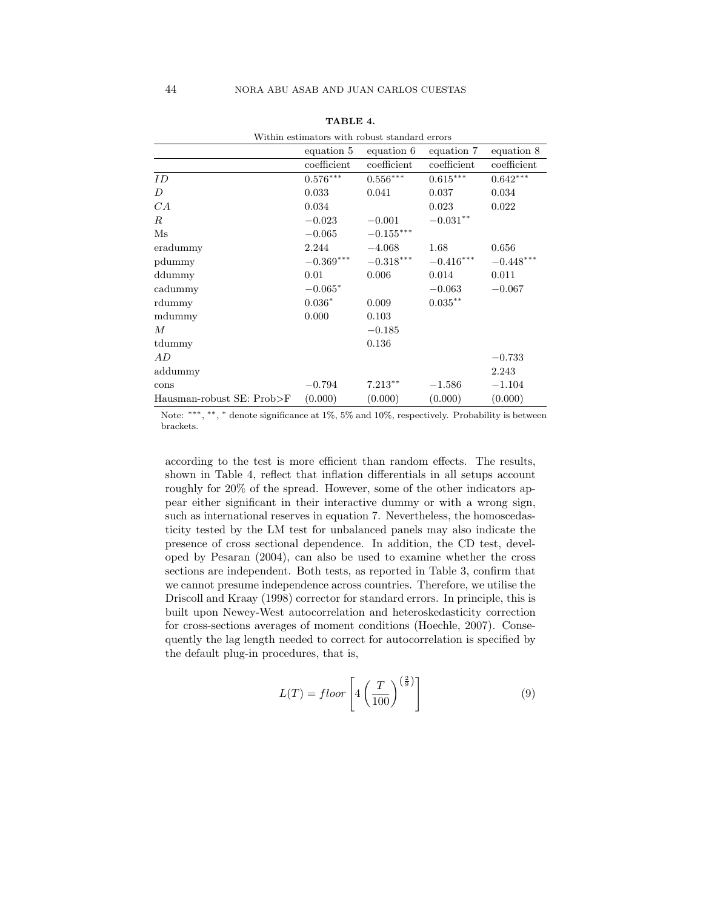| Within estimators with robust standard errors |             |                         |             |             |  |  |
|-----------------------------------------------|-------------|-------------------------|-------------|-------------|--|--|
|                                               | equation 5  | equation 6              | equation 7  | equation 8  |  |  |
|                                               | coefficient | $coefficient$           | coefficient | coefficient |  |  |
| ID                                            | $0.576***$  | $0.556***$              | $0.615***$  | $0.642***$  |  |  |
| D                                             | 0.033       | 0.041                   | 0.037       | 0.034       |  |  |
| CA                                            | 0.034       |                         | 0.023       | 0.022       |  |  |
| R                                             | $-0.023$    | $-0.001$                | $-0.031**$  |             |  |  |
| $\mathbf{M}\mathbf{s}$                        | $-0.065$    | $-0.155***$             |             |             |  |  |
| eradummy                                      | 2.244       | $-4.068$                | 1.68        | 0.656       |  |  |
| pdummy                                        | $-0.369***$ | $-0.318^{\ast\ast\ast}$ | $-0.416***$ | $-0.448***$ |  |  |
| ddummy                                        | 0.01        | 0.006                   | 0.014       | 0.011       |  |  |
| cadummy                                       | $-0.065*$   |                         | $-0.063$    | $-0.067$    |  |  |
| rdummy                                        | $0.036*$    | 0.009                   | $0.035***$  |             |  |  |
| mdummy                                        | 0.000       | 0.103                   |             |             |  |  |
| М                                             |             | $-0.185$                |             |             |  |  |
| tdummy                                        |             | 0.136                   |             |             |  |  |
| AD                                            |             |                         |             | $-0.733$    |  |  |
| addummy                                       |             |                         |             | 2.243       |  |  |
| cons                                          | $-0.794$    | $7.213**$               | $-1.586$    | $-1.104$    |  |  |
| Hausman-robust SE: Prob>F                     | (0.000)     | (0.000)                 | (0.000)     | (0.000)     |  |  |

|  | TABLE 4. |  |
|--|----------|--|
|--|----------|--|

Note: \*\*\*, \*\*, \* denote significance at 1%, 5% and 10%, respectively. Probability is between brackets.

according to the test is more efficient than random effects. The results, shown in Table 4, reflect that inflation differentials in all setups account roughly for 20% of the spread. However, some of the other indicators appear either significant in their interactive dummy or with a wrong sign, such as international reserves in equation 7. Nevertheless, the homoscedasticity tested by the LM test for unbalanced panels may also indicate the presence of cross sectional dependence. In addition, the CD test, developed by Pesaran (2004), can also be used to examine whether the cross sections are independent. Both tests, as reported in Table 3, confirm that we cannot presume independence across countries. Therefore, we utilise the Driscoll and Kraay (1998) corrector for standard errors. In principle, this is built upon Newey-West autocorrelation and heteroskedasticity correction for cross-sections averages of moment conditions (Hoechle, 2007). Consequently the lag length needed to correct for autocorrelation is specified by the default plug-in procedures, that is,

$$
L(T) = floor\left[4\left(\frac{T}{100}\right)^{\left(\frac{2}{9}\right)}\right]
$$
\n(9)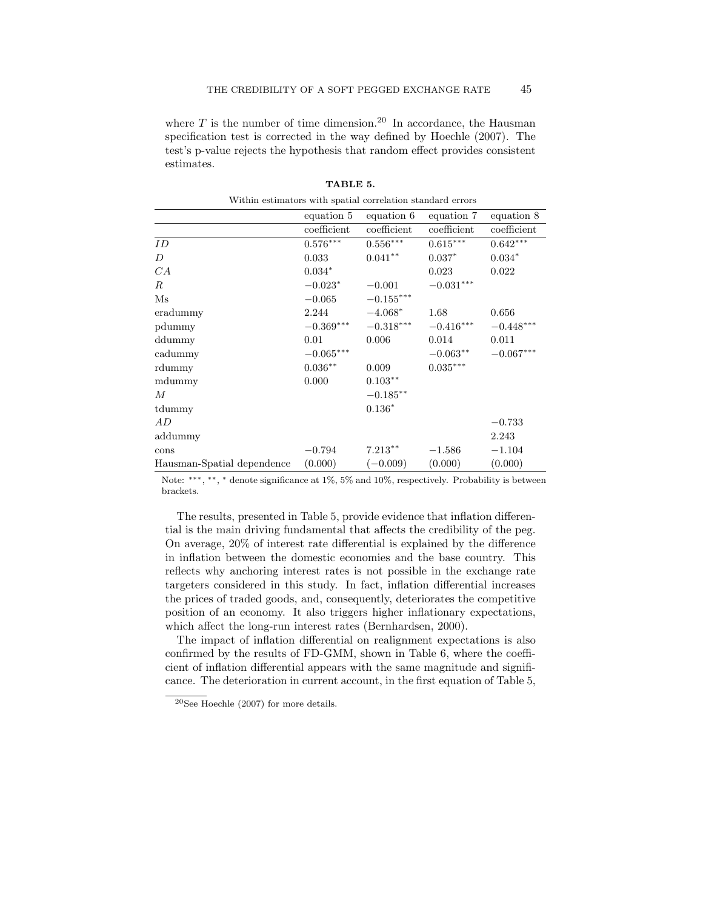where  $T$  is the number of time dimension.<sup>20</sup> In accordance, the Hausman specification test is corrected in the way defined by Hoechle (2007). The test's p-value rejects the hypothesis that random effect provides consistent estimates.

|                            | equation 5  | equation 6  | equation 7             | equation 8  |
|----------------------------|-------------|-------------|------------------------|-------------|
|                            | coefficient | coefficient | coefficient            | coefficient |
| ID                         | $0.576***$  | $0.556***$  | $0.615***$             | $0.642***$  |
| D                          | 0.033       | $0.041**$   | $0.037*$               | $0.034*$    |
| CA                         | $0.034*$    |             | 0.023                  | 0.022       |
| R                          | $-0.023*$   | $-0.001$    | $-0.031***$            |             |
| $\mathbf{M}\mathbf{s}$     | $-0.065$    | $-0.155***$ |                        |             |
| eradummy                   | 2.244       | $-4.068*$   | 1.68                   | 0.656       |
| pdummy                     | $-0.369***$ | $-0.318***$ | $-0.416***$            | $-0.448***$ |
| ddummy                     | 0.01        | 0.006       | 0.014                  | 0.011       |
| cadummy                    | $-0.065***$ |             | $-0.063**$             | $-0.067***$ |
| rdummy                     | $0.036**$   | 0.009       | $0.035^{\ast\ast\ast}$ |             |
| mdummy                     | 0.000       | $0.103**$   |                        |             |
| М                          |             | $-0.185***$ |                        |             |
| tdummy                     |             | $0.136*$    |                        |             |
| AD                         |             |             |                        | $-0.733$    |
| addummy                    |             |             |                        | 2.243       |
| cons                       | $-0.794$    | $7.213**$   | $-1.586$               | $-1.104$    |
| Hausman-Spatial dependence | (0.000)     | $(-0.009)$  | (0.000)                | (0.000)     |

|  | TABLE 5. |                                                            |  |
|--|----------|------------------------------------------------------------|--|
|  |          | Within estimators with spatial correlation standard errors |  |

Note: \*\*\*, \*\*, \* denote significance at 1%, 5% and 10%, respectively. Probability is between brackets.

The results, presented in Table 5, provide evidence that inflation differential is the main driving fundamental that affects the credibility of the peg. On average, 20% of interest rate differential is explained by the difference in inflation between the domestic economies and the base country. This reflects why anchoring interest rates is not possible in the exchange rate targeters considered in this study. In fact, inflation differential increases the prices of traded goods, and, consequently, deteriorates the competitive position of an economy. It also triggers higher inflationary expectations, which affect the long-run interest rates (Bernhardsen, 2000).

The impact of inflation differential on realignment expectations is also confirmed by the results of FD-GMM, shown in Table 6, where the coefficient of inflation differential appears with the same magnitude and significance. The deterioration in current account, in the first equation of Table 5,

 $20$ See Hoechle (2007) for more details.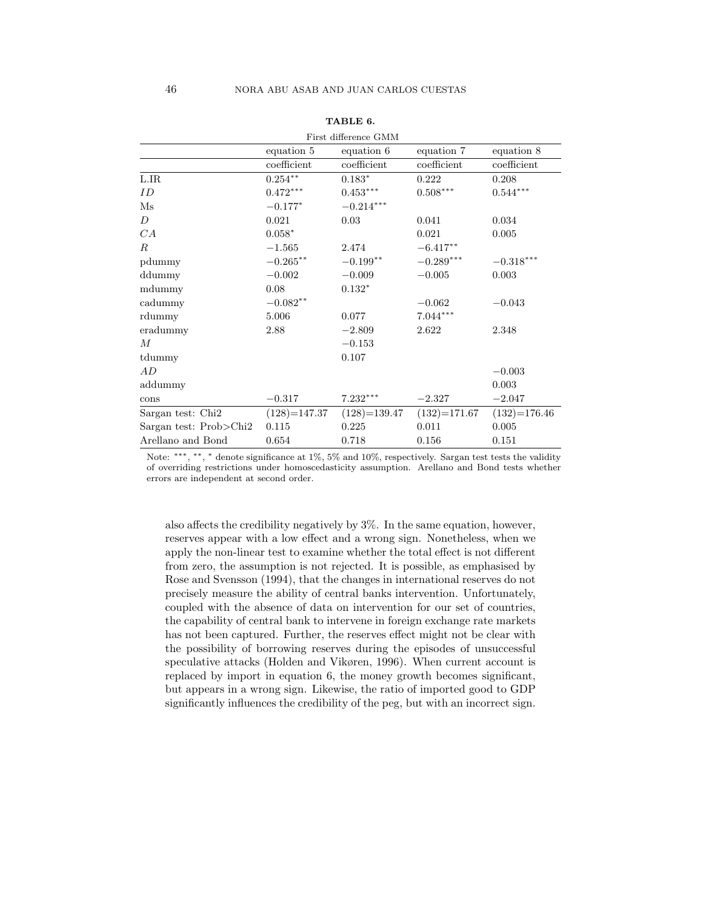| First difference GMM   |                     |                |                        |                         |  |  |
|------------------------|---------------------|----------------|------------------------|-------------------------|--|--|
|                        | equation 5          | equation 6     | equation 7             | equation 8              |  |  |
|                        | coefficient         | coefficient    | coefficient            | coefficient             |  |  |
| $_{\rm LIR}$           | $0.254***$          | $0.183*$       | 0.222                  | 0.208                   |  |  |
| ID                     | $0.472***$          | $0.453***$     | $0.508^{\ast\ast\ast}$ | $0.544^{***}\,$         |  |  |
| $\mathbf{M}\mathbf{s}$ | $-0.177*$           | $-0.214***$    |                        |                         |  |  |
| D                      | 0.021               | 0.03           | 0.041                  | 0.034                   |  |  |
| CA                     | $0.058*$            |                | 0.021                  | 0.005                   |  |  |
| R.                     | $-1.565$            | 2.474          | $-6.417***$            |                         |  |  |
| pdummy                 | $-0.265***$         | $-0.199**$     | $-0.289***$            | $-0.318^{\ast\ast\ast}$ |  |  |
| ddummy                 | $-0.002$            | $-0.009$       | $-0.005$               | 0.003                   |  |  |
| mdummy                 | 0.08                | $0.132*$       |                        |                         |  |  |
| cadummy                | $-0.082^{\ast\ast}$ |                | $-0.062$               | $-0.043$                |  |  |
| rdummy                 | 5.006               | 0.077          | $7.044***$             |                         |  |  |
| eradummy               | 2.88                | $-2.809$       | 2.622                  | 2.348                   |  |  |
| $\boldsymbol{M}$       |                     | $-0.153$       |                        |                         |  |  |
| tdummy                 |                     | 0.107          |                        |                         |  |  |
| AD                     |                     |                |                        | $-0.003$                |  |  |
| addummy                |                     |                |                        | 0.003                   |  |  |
| cons                   | $-0.317$            | $7.232***$     | $-2.327$               | $-2.047$                |  |  |
| Sargan test: Chi2      | $(128) = 147.37$    | $(128)=139.47$ | $(132) = 171.67$       | $(132) = 176.46$        |  |  |
| Sargan test: Prob>Chi2 | 0.115               | 0.225          | 0.011                  | 0.005                   |  |  |
| Arellano and Bond      | 0.654               | 0.718          | 0.156                  | 0.151                   |  |  |

# TABLE 6.

Note: \*\*\*, \*\*, \* denote significance at 1%, 5% and 10%, respectively. Sargan test tests the validity of overriding restrictions under homoscedasticity assumption. Arellano and Bond tests whether errors are independent at second order.

also affects the credibility negatively by 3%. In the same equation, however, reserves appear with a low effect and a wrong sign. Nonetheless, when we apply the non-linear test to examine whether the total effect is not different from zero, the assumption is not rejected. It is possible, as emphasised by Rose and Svensson (1994), that the changes in international reserves do not precisely measure the ability of central banks intervention. Unfortunately, coupled with the absence of data on intervention for our set of countries, the capability of central bank to intervene in foreign exchange rate markets has not been captured. Further, the reserves effect might not be clear with the possibility of borrowing reserves during the episodes of unsuccessful speculative attacks (Holden and Vikøren, 1996). When current account is replaced by import in equation 6, the money growth becomes significant, but appears in a wrong sign. Likewise, the ratio of imported good to GDP significantly influences the credibility of the peg, but with an incorrect sign.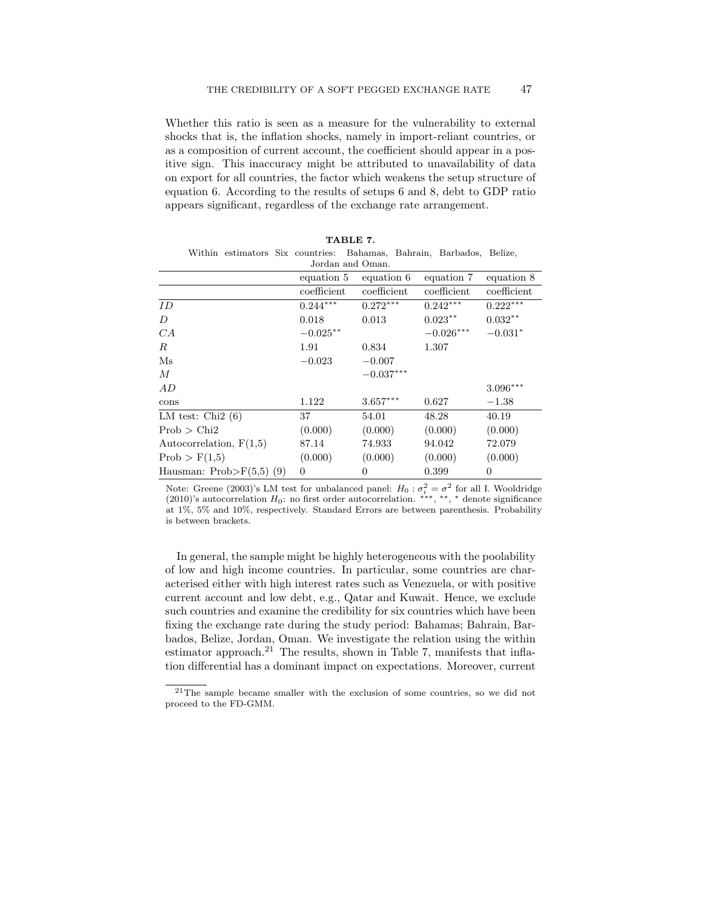Whether this ratio is seen as a measure for the vulnerability to external shocks that is, the inflation shocks, namely in import-reliant countries, or as a composition of current account, the coefficient should appear in a positive sign. This inaccuracy might be attributed to unavailability of data on export for all countries, the factor which weakens the setup structure of equation 6. According to the results of setups 6 and 8, debt to GDP ratio appears significant, regardless of the exchange rate arrangement.

TABLE 7.

|                            | Within estimators Six countries: Bahamas, Bahrain, Barbados, Belize, |  |                     |  |                |  |        |             |                |
|----------------------------|----------------------------------------------------------------------|--|---------------------|--|----------------|--|--------|-------------|----------------|
| Jordan and Oman.           |                                                                      |  |                     |  |                |  |        |             |                |
|                            |                                                                      |  | equation 5          |  | equation 6     |  |        | equation 7  | equation 8     |
|                            |                                                                      |  | coefficient         |  | coefficient    |  |        | coefficient | coefficient    |
| ID.                        |                                                                      |  | $0.244***$          |  | $0.272***$     |  |        | $0.242***$  | $0.222***$     |
| D                          |                                                                      |  | 0.018               |  | 0.013          |  |        | $0.023***$  | $0.032***$     |
| CA                         |                                                                      |  | $-0.025^{\ast\ast}$ |  |                |  |        | $-0.026***$ | $-0.031*$      |
| $_{R}$                     |                                                                      |  | 1.91                |  | 0.834          |  | 1.307  |             |                |
| $\rm Ms$                   |                                                                      |  | $-0.023$            |  | $-0.007$       |  |        |             |                |
| $\overline{M}$             |                                                                      |  |                     |  | $-0.037***$    |  |        |             |                |
| AD                         |                                                                      |  |                     |  |                |  |        |             | $3.096***$     |
| cons                       |                                                                      |  | 1.122               |  | $3.657***$     |  | 0.627  |             | $-1.38$        |
| LM test: Chi $2(6)$        |                                                                      |  | 37                  |  | 54.01          |  | 48.28  |             | 40.19          |
| Prob > Chi2                |                                                                      |  | (0.000)             |  | (0.000)        |  |        | (0.000)     | (0.000)        |
| Autocorrelation, $F(1,5)$  |                                                                      |  | 87.14               |  | 74.933         |  | 94.042 |             | 72.079         |
| Prob > F(1,5)              |                                                                      |  | (0.000)             |  | (0.000)        |  |        | (0.000)     | (0.000)        |
| Hausman: $Prob>F(5,5)$ (9) |                                                                      |  | $\overline{0}$      |  | $\overline{0}$ |  | 0.399  |             | $\overline{0}$ |

Note: Greene (2003)'s LM test for unbalanced panel:  $H_0: \sigma_i^2 = \sigma^2$  for all I. Wooldridge (2010)'s autocorrelation  $H_0$ : no first order autocorrelation. \*\*\*, \*\*, \* denote significance at 1%, 5% and 10%, respectively. Standard Errors are between parenthesis. Probability is between brackets.

In general, the sample might be highly heterogeneous with the poolability of low and high income countries. In particular, some countries are characterised either with high interest rates such as Venezuela, or with positive current account and low debt, e.g., Qatar and Kuwait. Hence, we exclude such countries and examine the credibility for six countries which have been fixing the exchange rate during the study period: Bahamas; Bahrain, Barbados, Belize, Jordan, Oman. We investigate the relation using the within estimator approach.<sup>21</sup> The results, shown in Table 7, manifests that inflation differential has a dominant impact on expectations. Moreover, current

<sup>21</sup>The sample became smaller with the exclusion of some countries, so we did not proceed to the FD-GMM.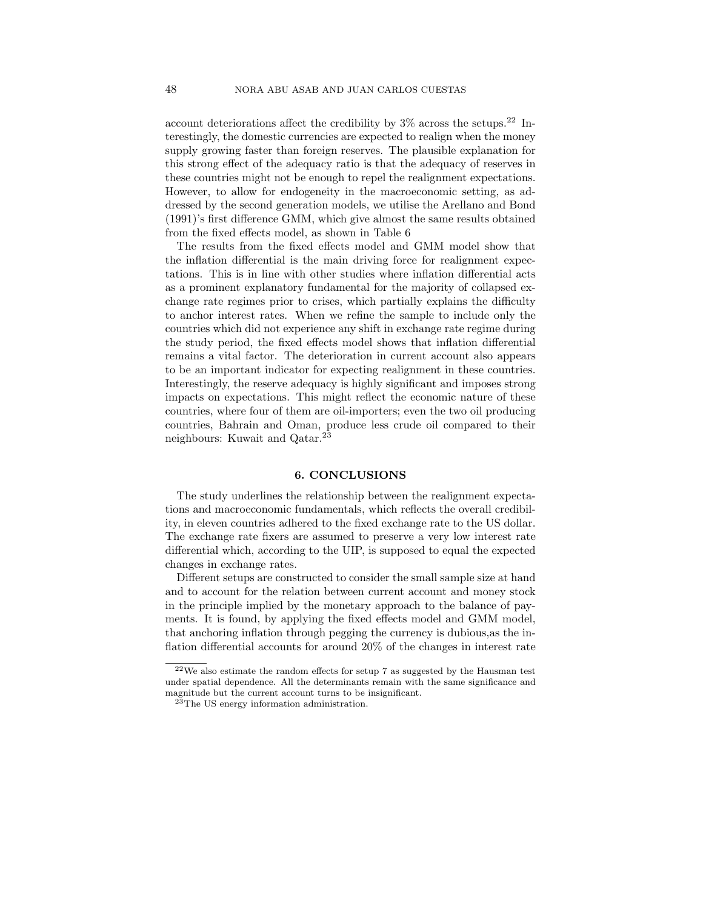account deteriorations affect the credibility by  $3\%$  across the setups.<sup>22</sup> Interestingly, the domestic currencies are expected to realign when the money supply growing faster than foreign reserves. The plausible explanation for this strong effect of the adequacy ratio is that the adequacy of reserves in these countries might not be enough to repel the realignment expectations. However, to allow for endogeneity in the macroeconomic setting, as addressed by the second generation models, we utilise the Arellano and Bond (1991)'s first difference GMM, which give almost the same results obtained from the fixed effects model, as shown in Table 6

The results from the fixed effects model and GMM model show that the inflation differential is the main driving force for realignment expectations. This is in line with other studies where inflation differential acts as a prominent explanatory fundamental for the majority of collapsed exchange rate regimes prior to crises, which partially explains the difficulty to anchor interest rates. When we refine the sample to include only the countries which did not experience any shift in exchange rate regime during the study period, the fixed effects model shows that inflation differential remains a vital factor. The deterioration in current account also appears to be an important indicator for expecting realignment in these countries. Interestingly, the reserve adequacy is highly significant and imposes strong impacts on expectations. This might reflect the economic nature of these countries, where four of them are oil-importers; even the two oil producing countries, Bahrain and Oman, produce less crude oil compared to their neighbours: Kuwait and Qatar.<sup>23</sup>

#### 6. CONCLUSIONS

The study underlines the relationship between the realignment expectations and macroeconomic fundamentals, which reflects the overall credibility, in eleven countries adhered to the fixed exchange rate to the US dollar. The exchange rate fixers are assumed to preserve a very low interest rate differential which, according to the UIP, is supposed to equal the expected changes in exchange rates.

Different setups are constructed to consider the small sample size at hand and to account for the relation between current account and money stock in the principle implied by the monetary approach to the balance of payments. It is found, by applying the fixed effects model and GMM model, that anchoring inflation through pegging the currency is dubious,as the inflation differential accounts for around 20% of the changes in interest rate

 $22$ We also estimate the random effects for setup 7 as suggested by the Hausman test under spatial dependence. All the determinants remain with the same significance and magnitude but the current account turns to be insignificant.

 $^{23}$ The US energy information administration.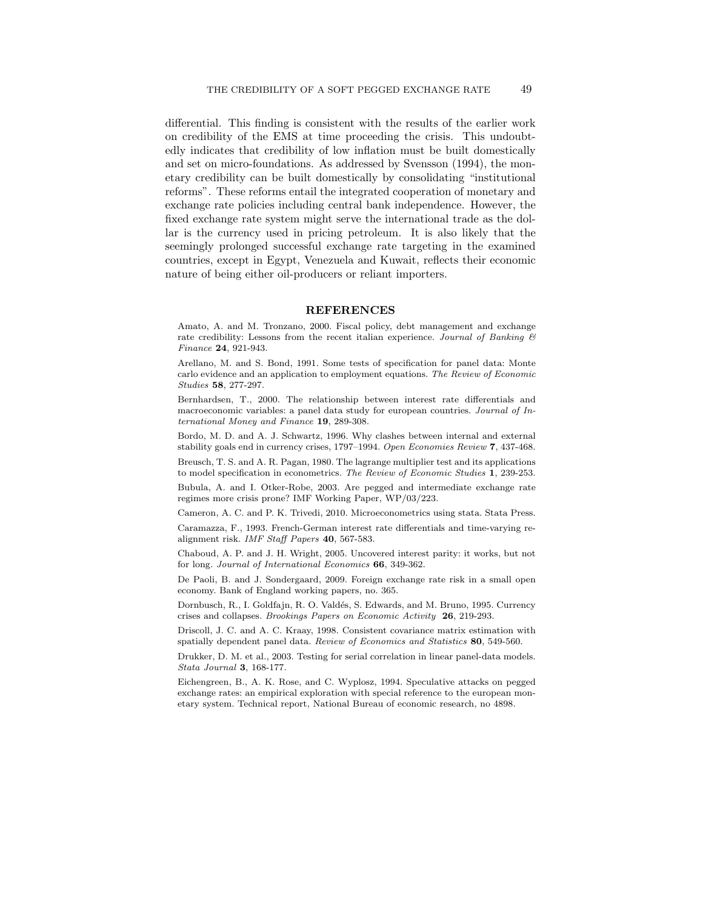differential. This finding is consistent with the results of the earlier work on credibility of the EMS at time proceeding the crisis. This undoubtedly indicates that credibility of low inflation must be built domestically and set on micro-foundations. As addressed by Svensson (1994), the monetary credibility can be built domestically by consolidating "institutional reforms". These reforms entail the integrated cooperation of monetary and exchange rate policies including central bank independence. However, the fixed exchange rate system might serve the international trade as the dollar is the currency used in pricing petroleum. It is also likely that the seemingly prolonged successful exchange rate targeting in the examined countries, except in Egypt, Venezuela and Kuwait, reflects their economic nature of being either oil-producers or reliant importers.

#### REFERENCES

Amato, A. and M. Tronzano, 2000. Fiscal policy, debt management and exchange rate credibility: Lessons from the recent italian experience. Journal of Banking  $\mathcal B$ Finance 24, 921-943.

Arellano, M. and S. Bond, 1991. Some tests of specification for panel data: Monte carlo evidence and an application to employment equations. The Review of Economic Studies 58, 277-297.

Bernhardsen, T., 2000. The relationship between interest rate differentials and macroeconomic variables: a panel data study for european countries. Journal of International Money and Finance 19, 289-308.

Bordo, M. D. and A. J. Schwartz, 1996. Why clashes between internal and external stability goals end in currency crises, 1797–1994. Open Economies Review 7, 437-468.

Breusch, T. S. and A. R. Pagan, 1980. The lagrange multiplier test and its applications to model specification in econometrics. The Review of Economic Studies 1, 239-253.

Bubula, A. and I. Otker-Robe, 2003. Are pegged and intermediate exchange rate regimes more crisis prone? IMF Working Paper, WP/03/223.

Cameron, A. C. and P. K. Trivedi, 2010. Microeconometrics using stata. Stata Press.

Caramazza, F., 1993. French-German interest rate differentials and time-varying realignment risk. IMF Staff Papers 40, 567-583.

Chaboud, A. P. and J. H. Wright, 2005. Uncovered interest parity: it works, but not for long. Journal of International Economics 66, 349-362.

De Paoli, B. and J. Sondergaard, 2009. Foreign exchange rate risk in a small open economy. Bank of England working papers, no. 365.

Dornbusch, R., I. Goldfajn, R. O. Valdés, S. Edwards, and M. Bruno, 1995. Currency crises and collapses. Brookings Papers on Economic Activity 26, 219-293.

Driscoll, J. C. and A. C. Kraay, 1998. Consistent covariance matrix estimation with spatially dependent panel data. Review of Economics and Statistics 80, 549-560.

Drukker, D. M. et al., 2003. Testing for serial correlation in linear panel-data models. Stata Journal 3, 168-177.

Eichengreen, B., A. K. Rose, and C. Wyplosz, 1994. Speculative attacks on pegged exchange rates: an empirical exploration with special reference to the european monetary system. Technical report, National Bureau of economic research, no 4898.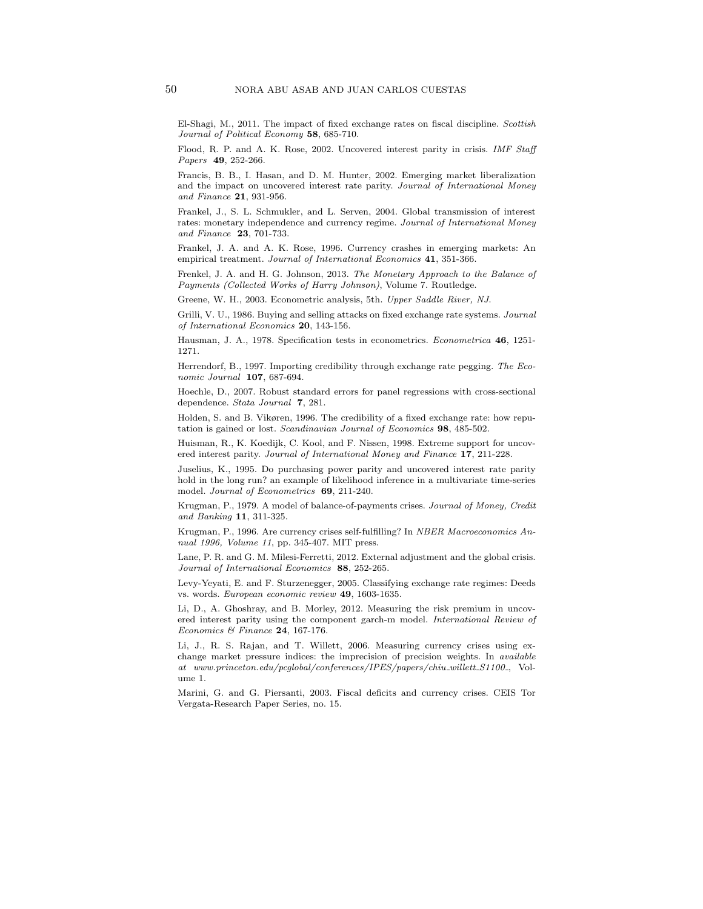El-Shagi, M., 2011. The impact of fixed exchange rates on fiscal discipline. Scottish Journal of Political Economy 58, 685-710.

Flood, R. P. and A. K. Rose, 2002. Uncovered interest parity in crisis. IMF Staff Papers **49**, 252-266.

Francis, B. B., I. Hasan, and D. M. Hunter, 2002. Emerging market liberalization and the impact on uncovered interest rate parity. Journal of International Money and Finance 21, 931-956.

Frankel, J., S. L. Schmukler, and L. Serven, 2004. Global transmission of interest rates: monetary independence and currency regime. Journal of International Money and Finance 23, 701-733.

Frankel, J. A. and A. K. Rose, 1996. Currency crashes in emerging markets: An empirical treatment. Journal of International Economics 41, 351-366.

Frenkel, J. A. and H. G. Johnson, 2013. The Monetary Approach to the Balance of Payments (Collected Works of Harry Johnson), Volume 7. Routledge.

Greene, W. H., 2003. Econometric analysis, 5th. Upper Saddle River, NJ.

Grilli, V. U., 1986. Buying and selling attacks on fixed exchange rate systems. Journal of International Economics 20, 143-156.

Hausman, J. A., 1978. Specification tests in econometrics. Econometrica 46, 1251- 1271.

Herrendorf, B., 1997. Importing credibility through exchange rate pegging. The Economic Journal 107, 687-694.

Hoechle, D., 2007. Robust standard errors for panel regressions with cross-sectional dependence. Stata Journal 7, 281.

Holden, S. and B. Vikøren, 1996. The credibility of a fixed exchange rate: how reputation is gained or lost. Scandinavian Journal of Economics 98, 485-502.

Huisman, R., K. Koedijk, C. Kool, and F. Nissen, 1998. Extreme support for uncovered interest parity. Journal of International Money and Finance 17, 211-228.

Juselius, K., 1995. Do purchasing power parity and uncovered interest rate parity hold in the long run? an example of likelihood inference in a multivariate time-series model. Journal of Econometrics 69, 211-240.

Krugman, P., 1979. A model of balance-of-payments crises. Journal of Money, Credit and Banking 11, 311-325.

Krugman, P., 1996. Are currency crises self-fulfilling? In NBER Macroeconomics Annual 1996, Volume 11, pp. 345-407. MIT press.

Lane, P. R. and G. M. Milesi-Ferretti, 2012. External adjustment and the global crisis. Journal of International Economics 88, 252-265.

Levy-Yeyati, E. and F. Sturzenegger, 2005. Classifying exchange rate regimes: Deeds vs. words. European economic review 49, 1603-1635.

Li, D., A. Ghoshray, and B. Morley, 2012. Measuring the risk premium in uncovered interest parity using the component garch-m model. International Review of Economics & Finance  $24$ , 167-176.

Li, J., R. S. Rajan, and T. Willett, 2006. Measuring currency crises using exchange market pressure indices: the imprecision of precision weights. In *available*  $\label{eq:1} at \quad www.princeton.edu/pcglobal/conferences/IPES/papers/chi_1 willett\_S1100_ ,\quad Vol$ ume 1.

Marini, G. and G. Piersanti, 2003. Fiscal deficits and currency crises. CEIS Tor Vergata-Research Paper Series, no. 15.